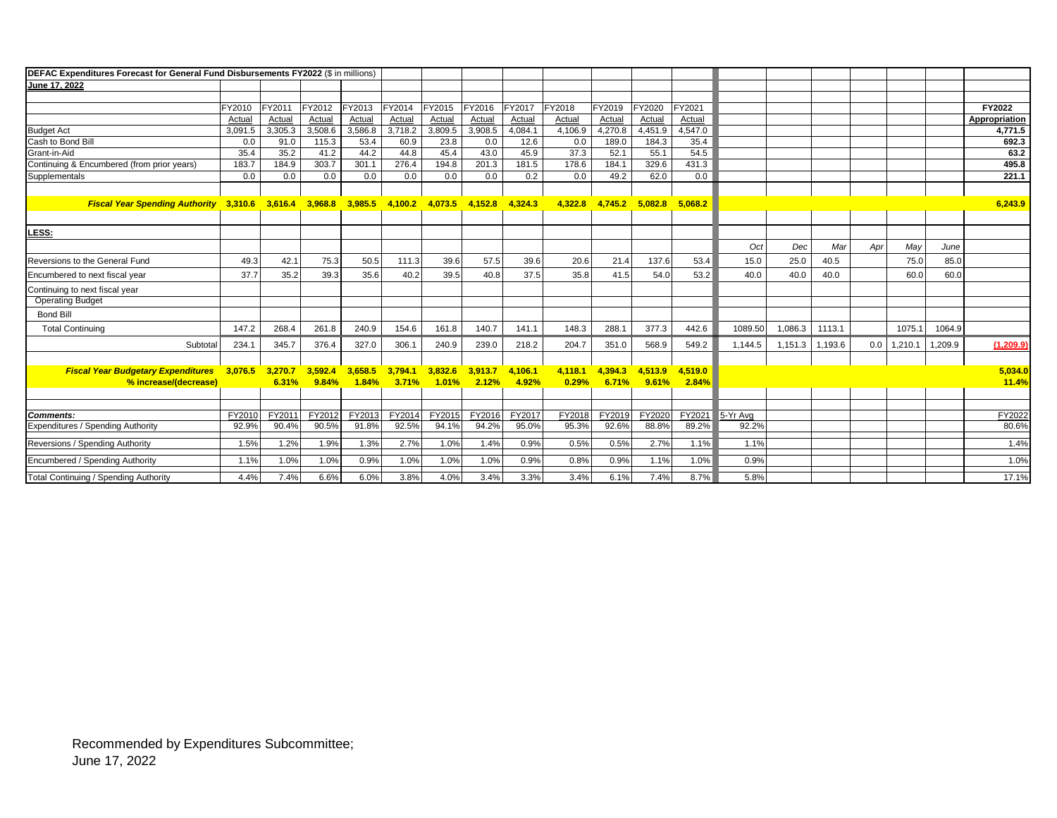| DEFAC Expenditures Forecast for General Fund Disbursements FY2022 (\$ in millions) |         |         |         |         |         |         |         |         |         |         |         |         |          |         |         |     |         |         |               |
|------------------------------------------------------------------------------------|---------|---------|---------|---------|---------|---------|---------|---------|---------|---------|---------|---------|----------|---------|---------|-----|---------|---------|---------------|
| June 17, 2022                                                                      |         |         |         |         |         |         |         |         |         |         |         |         |          |         |         |     |         |         |               |
|                                                                                    |         |         |         |         |         |         |         |         |         |         |         |         |          |         |         |     |         |         |               |
|                                                                                    | FY2010  | FY2011  | FY2012  | FY2013  | FY2014  | FY2015  | FY2016  | FY2017  | FY2018  | FY2019  | FY2020  | FY2021  |          |         |         |     |         |         | FY2022        |
|                                                                                    | Actual  | Actual  | Actual  | Actual  | Actual  | Actual  | Actual  | Actual  | Actual  | Actual  | Actual  | Actual  |          |         |         |     |         |         | Appropriation |
| <b>Budget Act</b>                                                                  | 3,091.5 | 3,305.3 | 3,508.6 | 3,586.8 | 3,718.2 | 3,809.5 | 3,908.5 | 4,084.1 | 4,106.9 | 4,270.8 | 4,451.9 | 4,547.0 |          |         |         |     |         |         | 4.771.5       |
| Cash to Bond Bill                                                                  | 0.0     | 91.0    | 115.3   | 53.4    | 60.9    | 23.8    | 0.0     | 12.6    | 0.0     | 189.0   | 184.3   | 35.4    |          |         |         |     |         |         | 692.3         |
| Grant-in-Aid                                                                       | 35.4    | 35.2    | 41.2    | 44.2    | 44.8    | 45.4    | 43.0    | 45.9    | 37.3    | 52.1    | 55.1    | 54.5    |          |         |         |     |         |         | 63.2          |
| Continuing & Encumbered (from prior years)                                         | 183.7   | 184.9   | 303.7   | 301.1   | 276.4   | 194.8   | 201.3   | 181.5   | 178.6   | 184.1   | 329.6   | 431.3   |          |         |         |     |         |         | 495.8         |
| Supplementals                                                                      | 0.0     | 0.0     | 0.0     | 0.0     | 0.0     | 0.0     | 0.0     | 0.2     | 0.0     | 49.2    | 62.0    | 0.0     |          |         |         |     |         |         | 221.1         |
|                                                                                    |         |         |         |         |         |         |         |         |         |         |         |         |          |         |         |     |         |         |               |
| <b>Fiscal Year Spending Authority 3,310.6</b>                                      |         | 3,616.4 | 3,968.8 | 3,985.5 | 4,100.2 | 4,073.5 | 4,152.8 | 4,324.3 | 4,322.8 | 4,745.2 | 5,082.8 | 5,068.2 |          |         |         |     |         |         | 6,243.9       |
|                                                                                    |         |         |         |         |         |         |         |         |         |         |         |         |          |         |         |     |         |         |               |
| LESS:                                                                              |         |         |         |         |         |         |         |         |         |         |         |         |          |         |         |     |         |         |               |
|                                                                                    |         |         |         |         |         |         |         |         |         |         |         |         | Oct      | Dec     | Mar     | Apr | May     | June    |               |
|                                                                                    |         |         |         |         |         |         |         |         |         |         |         |         |          |         |         |     |         |         |               |
| Reversions to the General Fund                                                     | 49.3    | 42.1    | 75.3    | 50.5    | 111.3   | 39.6    | 57.5    | 39.6    | 20.6    | 21.4    | 137.6   | 53.4    | 15.0     | 25.0    | 40.5    |     | 75.0    | 85.0    |               |
| Encumbered to next fiscal year                                                     | 37.7    | 35.2    | 39.3    | 35.6    | 40.2    | 39.5    | 40.8    | 37.5    | 35.8    | 41.5    | 54.0    | 53.2    | 40.0     | 40.0    | 40.0    |     | 60.0    | 60.0    |               |
| Continuing to next fiscal year                                                     |         |         |         |         |         |         |         |         |         |         |         |         |          |         |         |     |         |         |               |
| <b>Operating Budget</b>                                                            |         |         |         |         |         |         |         |         |         |         |         |         |          |         |         |     |         |         |               |
| <b>Bond Bill</b>                                                                   |         |         |         |         |         |         |         |         |         |         |         |         |          |         |         |     |         |         |               |
| <b>Total Continuing</b>                                                            | 147.2   | 268.4   | 261.8   | 240.9   | 154.6   | 161.8   | 140.7   | 141.1   | 148.3   | 288.1   | 377.3   | 442.6   | 1089.50  | 1,086.3 | 1113.1  |     | 1075.1  | 1064.9  |               |
| Subtota                                                                            | 234.1   | 345.7   | 376.4   | 327.0   | 306.1   | 240.9   | 239.0   | 218.2   | 204.7   | 351.0   | 568.9   | 549.2   | 1,144.5  | 1,151.3 | 1,193.6 | 0.0 | 1,210.1 | 1,209.9 | (1, 209.9)    |
|                                                                                    |         |         |         |         |         |         |         |         |         |         |         |         |          |         |         |     |         |         |               |
| <b>Fiscal Year Budgetary Expenditures</b>                                          | 3.076.5 | 3.270.7 | 3.592.4 | 3.658.5 | 3,794.1 | 3.832.6 | 3.913.7 | 4.106.1 | 4,118.1 | 4.394.3 | 4,513.9 | 4,519.0 |          |         |         |     |         |         | 5.034.0       |
| % increase/(decrease)                                                              |         | 6.31%   | 9.84%   | 1.84%   | 3.71%   | 1.01%   | 2.12%   | 4.92%   | 0.29%   | 6.71%   | 9.61%   | 2.84%   |          |         |         |     |         |         | 11.4%         |
|                                                                                    |         |         |         |         |         |         |         |         |         |         |         |         |          |         |         |     |         |         |               |
|                                                                                    |         |         |         |         |         |         |         |         |         |         |         |         |          |         |         |     |         |         |               |
| <b>Comments:</b>                                                                   | FY2010  | FY2011  | FY2012  | FY2013  | FY2014  | FY2015  | FY2016  | FY2017  | FY2018  | FY2019  | FY2020  | FY2021  | 5-Yr Ava |         |         |     |         |         | FY2022        |
| Expenditures / Spending Authority                                                  | 92.9%   | 90.4%   | 90.5%   | 91.8%   | 92.5%   | 94.1%   | 94.2%   | 95.0%   | 95.3%   | 92.6%   | 88.8%   | 89.2%   | 92.2%    |         |         |     |         |         | 80.6%         |
| Reversions / Spending Authority                                                    | 1.5%    | 1.2%    | 1.9%    | 1.3%    | 2.7%    | 1.0%    | 1.4%    | 0.9%    | 0.5%    | 0.5%    | 2.7%    | 1.1%    | 1.1%     |         |         |     |         |         | 1.4%          |
| Encumbered / Spending Authority                                                    | 1.1%    | 1.0%    | 1.0%    | 0.9%    | 1.0%    | 1.0%    | 1.0%    | 0.9%    | 0.8%    | 0.9%    | 1.1%    | 1.0%    | 0.9%     |         |         |     |         |         | 1.0%          |
| Total Continuing / Spending Authority                                              | 4.4%    | 7.4%    | 6.6%    | 6.0%    | 3.8%    | 4.0%    | 3.4%    | 3.3%    | 3.4%    | 6.1%    | 7.4%    | 8.7%    | 5.8%     |         |         |     |         |         | 17.1%         |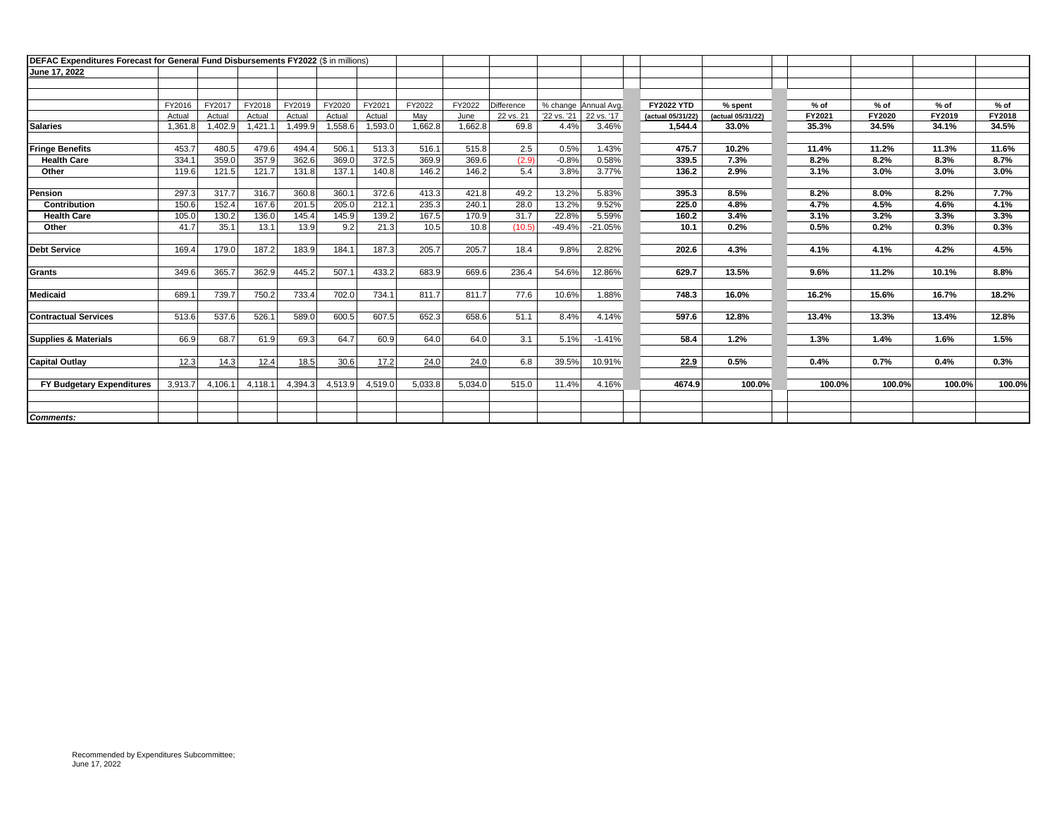| DEFAC Expenditures Forecast for General Fund Disbursements FY2022 (\$ in millions) |         |         |         |         |         |         |         |         |            |             |                      |                   |                   |        |        |        |        |
|------------------------------------------------------------------------------------|---------|---------|---------|---------|---------|---------|---------|---------|------------|-------------|----------------------|-------------------|-------------------|--------|--------|--------|--------|
| June 17, 2022                                                                      |         |         |         |         |         |         |         |         |            |             |                      |                   |                   |        |        |        |        |
|                                                                                    |         |         |         |         |         |         |         |         |            |             |                      |                   |                   |        |        |        |        |
|                                                                                    |         |         |         |         |         |         |         |         |            |             |                      |                   |                   |        |        |        |        |
|                                                                                    | FY2016  | FY2017  | FY2018  | FY2019  | FY2020  | FY2021  | FY2022  | FY2022  | Difference |             | % change Annual Avg. | <b>FY2022 YTD</b> | % spent           | % of   | $%$ of | $%$ of | $%$ of |
|                                                                                    | Actual  | Actual  | Actual  | Actual  | Actual  | Actual  | May     | June    | 22 vs. 21  | '22 vs. '21 | 22 vs. '17           | (actual 05/31/22) | (actual 05/31/22) | FY2021 | FY2020 | FY2019 | FY2018 |
| Salaries                                                                           | 1,361.8 | 1,402.9 | 1,421.1 | 1,499.9 | 1,558.6 | 1,593.0 | 1,662.8 | 1,662.8 | 69.8       | 4.4%        | 3.46%                | 1.544.4           | 33.0%             | 35.3%  | 34.5%  | 34.1%  | 34.5%  |
|                                                                                    |         |         |         |         |         |         |         |         |            |             |                      |                   |                   |        |        |        |        |
| <b>Fringe Benefits</b>                                                             | 453.7   | 480.5   | 479.6   | 494.4   | 506.1   | 513.3   | 516.1   | 515.8   | 2.5        | 0.5%        | 1.43%                | 475.7             | 10.2%             | 11.4%  | 11.2%  | 11.3%  | 11.6%  |
| <b>Health Care</b>                                                                 | 334.    | 359.0   | 357.9   | 362.6   | 369.0   | 372.5   | 369.9   | 369.6   | (2.9)      | $-0.8%$     | 0.58%                | 339.5             | 7.3%              | 8.2%   | 8.2%   | 8.3%   | 8.7%   |
| Other                                                                              | 119.6   | 121.5   | 121.7   | 131.8   | 137.1   | 140.8   | 146.2   | 146.2   | 5.4        | 3.8%        | 3.77%                | 136.2             | 2.9%              | 3.1%   | 3.0%   | 3.0%   | 3.0%   |
|                                                                                    |         |         |         |         |         |         |         |         |            |             |                      |                   |                   |        |        |        |        |
| <b>Pension</b>                                                                     | 297.3   | 317.7   | 316.7   | 360.8   | 360.1   | 372.6   | 413.3   | 421.8   | 49.2       | 13.2%       | 5.83%                | 395.3             | 8.5%              | 8.2%   | 8.0%   | 8.2%   | 7.7%   |
| Contribution                                                                       | 150.6   | 152.4   | 167.6   | 201.5   | 205.0   | 212.1   | 235.3   | 240.1   | 28.0       | 13.2%       | 9.52%                | 225.0             | 4.8%              | 4.7%   | 4.5%   | 4.6%   | 4.1%   |
| <b>Health Care</b>                                                                 | 105.0   | 130.2   | 136.0   | 145.4   | 145.9   | 139.2   | 167.5   | 170.9   | 31.7       | 22.8%       | 5.59%                | 160.2             | 3.4%              | 3.1%   | 3.2%   | 3.3%   | 3.3%   |
| Other                                                                              | 41.7    | 35.1    | 13.1    | 13.9    | 9.2     | 21.3    | 10.5    | 10.8    | (10.5)     | $-49.4%$    | $-21.05%$            | 10.1              | 0.2%              | 0.5%   | 0.2%   | 0.3%   | 0.3%   |
|                                                                                    |         |         |         |         |         |         |         |         |            |             |                      |                   |                   |        |        |        |        |
| Debt Service                                                                       | 169.4   | 179.0   | 187.2   | 183.9   | 184.1   | 187.3   | 205.7   | 205.7   | 18.4       | 9.8%        | 2.82%                | 202.6             | 4.3%              | 4.1%   | 4.1%   | 4.2%   | 4.5%   |
|                                                                                    |         |         |         |         |         |         |         |         |            |             |                      |                   |                   |        |        |        |        |
| Grants                                                                             | 349.6   | 365.7   | 362.9   | 445.2   | 507.1   | 433.2   | 683.9   | 669.6   | 236.4      | 54.6%       | 12.86%               | 629.7             | 13.5%             | 9.6%   | 11.2%  | 10.1%  | 8.8%   |
|                                                                                    |         |         |         |         |         |         |         |         |            |             |                      |                   |                   |        |        |        |        |
| Medicaid                                                                           | 689.1   | 739.7   | 750.2   | 733.4   | 702.0   | 734.1   | 811.7   | 811.7   | 77.6       | 10.6%       | 1.88%                | 748.3             | 16.0%             | 16.2%  | 15.6%  | 16.7%  | 18.2%  |
|                                                                                    |         |         |         |         |         |         |         |         |            |             |                      |                   |                   |        |        |        |        |
| <b>Contractual Services</b>                                                        | 513.6   | 537.6   | 526.1   | 589.0   | 600.5   | 607.5   | 652.3   | 658.6   | 51.1       | 8.4%        | 4.14%                | 597.6             | 12.8%             | 13.4%  | 13.3%  | 13.4%  | 12.8%  |
|                                                                                    |         |         |         |         |         |         |         |         |            |             |                      |                   |                   |        |        |        |        |
| Supplies & Materials                                                               | 66.9    | 68.7    | 61.9    | 69.3    | 64.7    | 60.9    | 64.0    | 64.0    | 3.1        | 5.1%        | $-1.41%$             | 58.4              | 1.2%              | 1.3%   | 1.4%   | 1.6%   | 1.5%   |
|                                                                                    |         |         |         |         |         |         |         |         |            |             |                      |                   |                   |        |        |        |        |
|                                                                                    |         |         |         |         |         |         |         |         |            |             |                      |                   |                   |        |        |        |        |
| <b>Capital Outlay</b>                                                              | 12.3    | 14.3    | 12.4    | 18.5    | 30.6    | 17.2    | 24.0    | 24.0    | 6.8        | 39.5%       | 10.91%               | 22.9              | 0.5%              | 0.4%   | 0.7%   | 0.4%   | 0.3%   |
|                                                                                    |         |         |         |         |         |         |         |         |            |             |                      |                   |                   |        |        |        |        |
| FY Budgetary Expenditures                                                          | 3.913.7 | 4,106.1 | 4,118.1 | 4,394.3 | 4,513.9 | 4,519.0 | 5,033.8 | 5,034.0 | 515.0      | 11.4%       | 4.16%                | 4674.9            | 100.0%            | 100.0% | 100.0% | 100.0% | 100.0% |
|                                                                                    |         |         |         |         |         |         |         |         |            |             |                      |                   |                   |        |        |        |        |
|                                                                                    |         |         |         |         |         |         |         |         |            |             |                      |                   |                   |        |        |        |        |
| Comments:                                                                          |         |         |         |         |         |         |         |         |            |             |                      |                   |                   |        |        |        |        |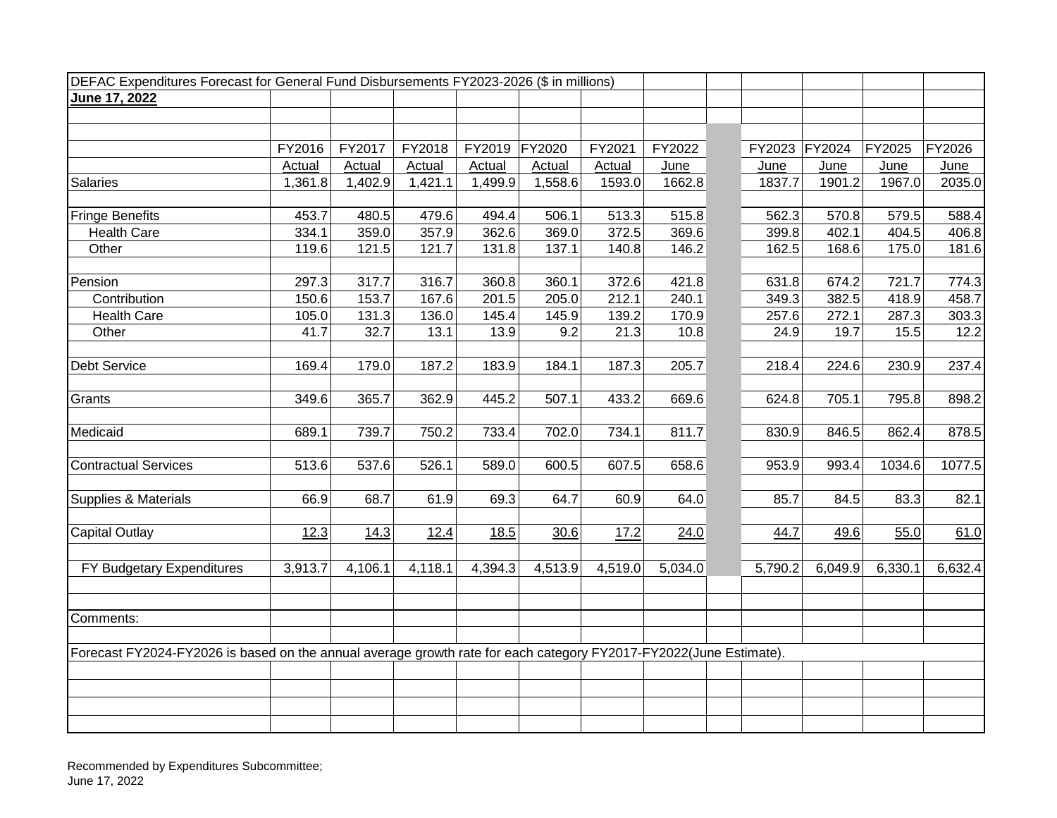| DEFAC Expenditures Forecast for General Fund Disbursements FY2023-2026 (\$ in millions)                           |         |         |         |         |         |               |         |               |         |         |         |
|-------------------------------------------------------------------------------------------------------------------|---------|---------|---------|---------|---------|---------------|---------|---------------|---------|---------|---------|
| June 17, 2022                                                                                                     |         |         |         |         |         |               |         |               |         |         |         |
|                                                                                                                   |         |         |         |         |         |               |         |               |         |         |         |
|                                                                                                                   |         |         |         |         |         |               |         |               |         |         |         |
|                                                                                                                   | FY2016  | FY2017  | FY2018  | FY2019  | FY2020  | FY2021        | FY2022  | FY2023 FY2024 |         | FY2025  | FY2026  |
|                                                                                                                   | Actual  | Actual  | Actual  | Actual  | Actual  | <b>Actual</b> | June    | June          | June    | June    | June    |
| <b>Salaries</b>                                                                                                   | 1,361.8 | 1,402.9 | 1,421.1 | 1,499.9 | 1,558.6 | 1593.0        | 1662.8  | 1837.7        | 1901.2  | 1967.0  | 2035.0  |
|                                                                                                                   |         |         |         |         |         |               |         |               |         |         |         |
| <b>Fringe Benefits</b>                                                                                            | 453.7   | 480.5   | 479.6   | 494.4   | 506.1   | 513.3         | 515.8   | 562.3         | 570.8   | 579.5   | 588.4   |
| <b>Health Care</b>                                                                                                | 334.1   | 359.0   | 357.9   | 362.6   | 369.0   | 372.5         | 369.6   | 399.8         | 402.1   | 404.5   | 406.8   |
| Other                                                                                                             | 119.6   | 121.5   | 121.7   | 131.8   | 137.1   | 140.8         | 146.2   | 162.5         | 168.6   | 175.0   | 181.6   |
| Pension                                                                                                           | 297.3   | 317.7   | 316.7   | 360.8   | 360.1   | 372.6         | 421.8   | 631.8         | 674.2   | 721.7   | 774.3   |
| Contribution                                                                                                      | 150.6   | 153.7   | 167.6   | 201.5   | 205.0   | 212.1         | 240.1   | 349.3         | 382.5   | 418.9   | 458.7   |
| <b>Health Care</b>                                                                                                | 105.0   | 131.3   | 136.0   | 145.4   | 145.9   | 139.2         | 170.9   | 257.6         | 272.1   | 287.3   | 303.3   |
| Other                                                                                                             | 41.7    | 32.7    | 13.1    | 13.9    | 9.2     | 21.3          | 10.8    | 24.9          | 19.7    | 15.5    | 12.2    |
|                                                                                                                   |         |         |         |         |         |               |         |               |         |         |         |
| <b>Debt Service</b>                                                                                               | 169.4   | 179.0   | 187.2   | 183.9   | 184.1   | 187.3         | 205.7   | 218.4         | 224.6   | 230.9   | 237.4   |
| Grants                                                                                                            | 349.6   | 365.7   | 362.9   | 445.2   | 507.1   | 433.2         | 669.6   | 624.8         | 705.1   | 795.8   | 898.2   |
| Medicaid                                                                                                          | 689.1   | 739.7   | 750.2   | 733.4   | 702.0   | 734.1         | 811.7   | 830.9         | 846.5   | 862.4   | 878.5   |
|                                                                                                                   |         |         |         |         |         |               |         |               |         |         |         |
| <b>Contractual Services</b>                                                                                       | 513.6   | 537.6   | 526.1   | 589.0   | 600.5   | 607.5         | 658.6   | 953.9         | 993.4   | 1034.6  | 1077.5  |
| Supplies & Materials                                                                                              | 66.9    | 68.7    | 61.9    | 69.3    | 64.7    | 60.9          | 64.0    | 85.7          | 84.5    | 83.3    | 82.1    |
| <b>Capital Outlay</b>                                                                                             | 12.3    | 14.3    | 12.4    | 18.5    | 30.6    | 17.2          | 24.0    | 44.7          | 49.6    | 55.0    | 61.0    |
|                                                                                                                   |         |         |         |         |         |               |         |               |         |         |         |
| FY Budgetary Expenditures                                                                                         | 3,913.7 | 4,106.1 | 4,118.1 | 4,394.3 | 4,513.9 | 4,519.0       | 5,034.0 | 5,790.2       | 6,049.9 | 6,330.1 | 6,632.4 |
| Comments:                                                                                                         |         |         |         |         |         |               |         |               |         |         |         |
|                                                                                                                   |         |         |         |         |         |               |         |               |         |         |         |
| Forecast FY2024-FY2026 is based on the annual average growth rate for each category FY2017-FY2022(June Estimate). |         |         |         |         |         |               |         |               |         |         |         |
|                                                                                                                   |         |         |         |         |         |               |         |               |         |         |         |
|                                                                                                                   |         |         |         |         |         |               |         |               |         |         |         |
|                                                                                                                   |         |         |         |         |         |               |         |               |         |         |         |
|                                                                                                                   |         |         |         |         |         |               |         |               |         |         |         |

Recommended by Expenditures Subcommittee; June 17, 2022